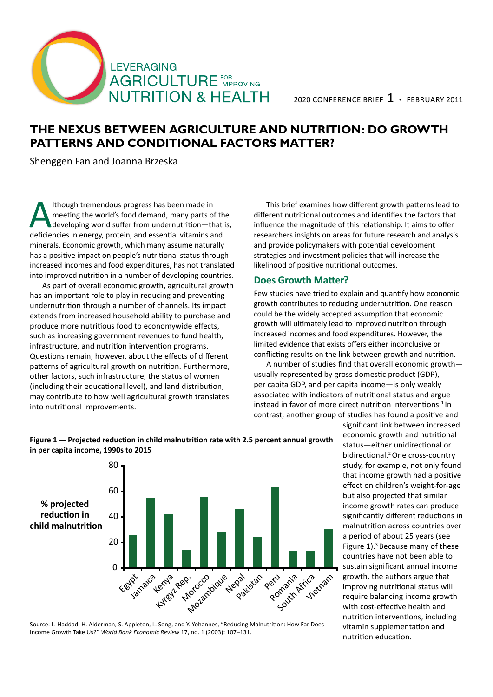

# **The Nexus between Agriculture and Nutrition: Do Growth Patterns and Conditional Factors Matter?**

Shenggen Fan and Joanna Brzeska

Ithough tremendous progress has been made in<br>meeting the world's food demand, many parts of<br>developing world suffer from undernutrition—the<br>deficiencies in energy, protein, and essential vitamins a meeting the world's food demand, many parts of the developing world suffer from undernutrition—that is, deficiencies in energy, protein, and essential vitamins and minerals. Economic growth, which many assume naturally has a positive impact on people's nutritional status through increased incomes and food expenditures, has not translated into improved nutrition in a number of developing countries.

As part of overall economic growth, agricultural growth has an important role to play in reducing and preventing undernutrition through a number of channels. Its impact extends from increased household ability to purchase and produce more nutritious food to economywide effects, such as increasing government revenues to fund health, infrastructure, and nutrition intervention programs. Questions remain, however, about the effects of different patterns of agricultural growth on nutrition. Furthermore, other factors, such infrastructure, the status of women (including their educational level), and land distribution, may contribute to how well agricultural growth translates into nutritional improvements.

This brief examines how different growth patterns lead to different nutritional outcomes and identifies the factors that influence the magnitude of this relationship. It aims to offer researchers insights on areas for future research and analysis and provide policymakers with potential development strategies and investment policies that will increase the likelihood of positive nutritional outcomes.

### **Does Growth Matter?**

Few studies have tried to explain and quantify how economic growth contributes to reducing undernutrition. One reason could be the widely accepted assumption that economic growth will ultimately lead to improved nutrition through increased incomes and food expenditures. However, the limited evidence that exists offers either inconclusive or conflicting results on the link between growth and nutrition.

A number of studies find that overall economic growth usually represented by gross domestic product (GDP), per capita GDP, and per capita income—is only weakly associated with indicators of nutritional status and argue instead in favor of more direct nutrition interventions.<sup>1</sup> In contrast, another group of studies has found a positive and



### **Figure 1 — Projected reduction in child malnutrition rate with 2.5 percent annual growth in per capita income, 1990s to 2015**

Source: L. Haddad, H. Alderman, S. Appleton, L. Song, and Y. Yohannes, "Reducing Malnutrition: How Far Does Income Growth Take Us?" *World Bank Economic Review* 17, no. 1 (2003): 107–131.

significant link between increased economic growth and nutritional status—either unidirectional or bidirectional.<sup>2</sup>One cross-country study, for example, not only found that income growth had a positive effect on children's weight-for-age but also projected that similar income growth rates can produce significantly different reductions in malnutrition across countries over a period of about 25 years (see Figure 1).<sup>3</sup> Because many of these countries have not been able to sustain significant annual income growth, the authors argue that improving nutritional status will require balancing income growth with cost-effective health and nutrition interventions, including vitamin supplementation and nutrition education.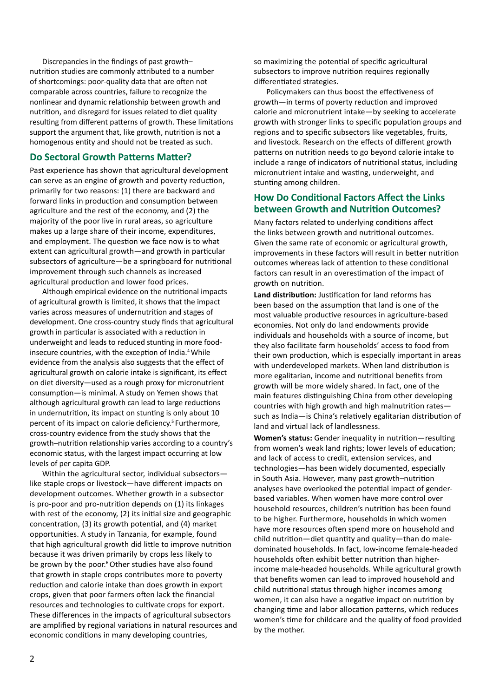Discrepancies in the findings of past growth– nutrition studies are commonly attributed to a number of shortcomings: poor-quality data that are often not comparable across countries, failure to recognize the nonlinear and dynamic relationship between growth and nutrition, and disregard for issues related to diet quality resulting from different patterns of growth. These limitations support the argument that, like growth, nutrition is not a homogenous entity and should not be treated as such.

## **Do Sectoral Growth Patterns Matter?**

Past experience has shown that agricultural development can serve as an engine of growth and poverty reduction, primarily for two reasons: (1) there are backward and forward links in production and consumption between agriculture and the rest of the economy, and (2) the majority of the poor live in rural areas, so agriculture makes up a large share of their income, expenditures, and employment. The question we face now is to what extent can agricultural growth—and growth in particular subsectors of agriculture—be a springboard for nutritional improvement through such channels as increased agricultural production and lower food prices.

Although empirical evidence on the nutritional impacts of agricultural growth is limited, it shows that the impact varies across measures of undernutrition and stages of development. One cross-country study finds that agricultural growth in particular is associated with a reduction in underweight and leads to reduced stunting in more foodinsecure countries, with the exception of India.<sup>4</sup> While evidence from the analysis also suggests that the effect of agricultural growth on calorie intake is significant, its effect on diet diversity—used as a rough proxy for micronutrient consumption—is minimal. A study on Yemen shows that although agricultural growth can lead to large reductions in undernutrition, its impact on stunting is only about 10 percent of its impact on calorie deficiency.<sup>5</sup> Furthermore, cross-country evidence from the study shows that the growth–nutrition relationship varies according to a country's economic status, with the largest impact occurring at low levels of per capita GDP.

Within the agricultural sector, individual subsectors like staple crops or livestock—have different impacts on development outcomes. Whether growth in a subsector is pro-poor and pro-nutrition depends on (1) its linkages with rest of the economy, (2) its initial size and geographic concentration, (3) its growth potential, and (4) market opportunities. A study in Tanzania, for example, found that high agricultural growth did little to improve nutrition because it was driven primarily by crops less likely to be grown by the poor.<sup>6</sup> Other studies have also found that growth in staple crops contributes more to poverty reduction and calorie intake than does growth in export crops, given that poor farmers often lack the financial resources and technologies to cultivate crops for export. These differences in the impacts of agricultural subsectors are amplified by regional variations in natural resources and economic conditions in many developing countries,

so maximizing the potential of specific agricultural subsectors to improve nutrition requires regionally differentiated strategies.

Policymakers can thus boost the effectiveness of growth—in terms of poverty reduction and improved calorie and micronutrient intake—by seeking to accelerate growth with stronger links to specific population groups and regions and to specific subsectors like vegetables, fruits, and livestock. Research on the effects of different growth patterns on nutrition needs to go beyond calorie intake to include a range of indicators of nutritional status, including micronutrient intake and wasting, underweight, and stunting among children.

# **How Do Conditional Factors Affect the Links between Growth and Nutrition Outcomes?**

Many factors related to underlying conditions affect the links between growth and nutritional outcomes. Given the same rate of economic or agricultural growth, improvements in these factors will result in better nutrition outcomes whereas lack of attention to these conditional factors can result in an overestimation of the impact of growth on nutrition.

**Land distribution:** Justification for land reforms has been based on the assumption that land is one of the most valuable productive resources in agriculture-based economies. Not only do land endowments provide individuals and households with a source of income, but they also facilitate farm households' access to food from their own production, which is especially important in areas with underdeveloped markets. When land distribution is more egalitarian, income and nutritional benefits from growth will be more widely shared. In fact, one of the main features distinguishing China from other developing countries with high growth and high malnutrition rates such as India—is China's relatively egalitarian distribution of land and virtual lack of landlessness.

**Women's status:** Gender inequality in nutrition—resulting from women's weak land rights; lower levels of education; and lack of access to credit, extension services, and technologies—has been widely documented, especially in South Asia. However, many past growth–nutrition analyses have overlooked the potential impact of genderbased variables. When women have more control over household resources, children's nutrition has been found to be higher. Furthermore, households in which women have more resources often spend more on household and child nutrition—diet quantity and quality—than do maledominated households. In fact, low-income female-headed households often exhibit better nutrition than higherincome male-headed households. While agricultural growth that benefits women can lead to improved household and child nutritional status through higher incomes among women, it can also have a negative impact on nutrition by changing time and labor allocation patterns, which reduces women's time for childcare and the quality of food provided by the mother.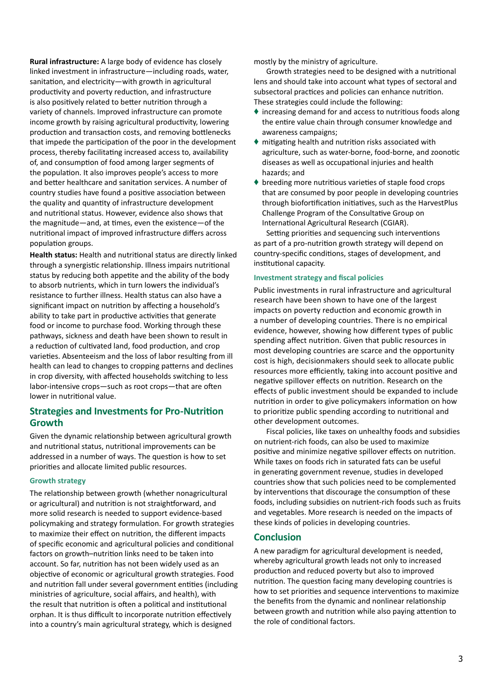**Rural infrastructure:** A large body of evidence has closely linked investment in infrastructure—including roads, water, sanitation, and electricity—with growth in agricultural productivity and poverty reduction, and infrastructure is also positively related to better nutrition through a variety of channels. Improved infrastructure can promote income growth by raising agricultural productivity, lowering production and transaction costs, and removing bottlenecks that impede the participation of the poor in the development process, thereby facilitating increased access to, availability of, and consumption of food among larger segments of the population. It also improves people's access to more and better healthcare and sanitation services. A number of country studies have found a positive association between the quality and quantity of infrastructure development and nutritional status. However, evidence also shows that the magnitude—and, at times, even the existence—of the nutritional impact of improved infrastructure differs across population groups.

**Health status:** Health and nutritional status are directly linked through a synergistic relationship. Illness impairs nutritional status by reducing both appetite and the ability of the body to absorb nutrients, which in turn lowers the individual's resistance to further illness. Health status can also have a significant impact on nutrition by affecting a household's ability to take part in productive activities that generate food or income to purchase food. Working through these pathways, sickness and death have been shown to result in a reduction of cultivated land, food production, and crop varieties. Absenteeism and the loss of labor resulting from ill health can lead to changes to cropping patterns and declines in crop diversity, with affected households switching to less labor-intensive crops—such as root crops—that are often lower in nutritional value.

## **Strategies and Investments for Pro-Nutrition Growth**

Given the dynamic relationship between agricultural growth and nutritional status, nutritional improvements can be addressed in a number of ways. The question is how to set priorities and allocate limited public resources.

#### **Growth strategy**

The relationship between growth (whether nonagricultural or agricultural) and nutrition is not straightforward, and more solid research is needed to support evidence-based policymaking and strategy formulation. For growth strategies to maximize their effect on nutrition, the different impacts of specific economic and agricultural policies and conditional factors on growth–nutrition links need to be taken into account. So far, nutrition has not been widely used as an objective of economic or agricultural growth strategies. Food and nutrition fall under several government entities (including ministries of agriculture, social affairs, and health), with the result that nutrition is often a political and institutional orphan. It is thus difficult to incorporate nutrition effectively into a country's main agricultural strategy, which is designed

mostly by the ministry of agriculture.

Growth strategies need to be designed with a nutritional lens and should take into account what types of sectoral and subsectoral practices and policies can enhance nutrition. These strategies could include the following:

- $\bullet$  increasing demand for and access to nutritious foods along the entire value chain through consumer knowledge and awareness campaigns;
- $\blacklozenge$  mitigating health and nutrition risks associated with agriculture, such as water-borne, food-borne, and zoonotic diseases as well as occupational injuries and health hazards; and
- © breeding more nutritious varieties of staple food crops that are consumed by poor people in developing countries through biofortification initiatives, such as the HarvestPlus Challenge Program of the Consultative Group on International Agricultural Research (CGIAR).

Setting priorities and sequencing such interventions as part of a pro-nutrition growth strategy will depend on country-specific conditions, stages of development, and institutional capacity.

#### **Investment strategy and fiscal policies**

Public investments in rural infrastructure and agricultural research have been shown to have one of the largest impacts on poverty reduction and economic growth in a number of developing countries. There is no empirical evidence, however, showing how different types of public spending affect nutrition. Given that public resources in most developing countries are scarce and the opportunity cost is high, decisionmakers should seek to allocate public resources more efficiently, taking into account positive and negative spillover effects on nutrition. Research on the effects of public investment should be expanded to include nutrition in order to give policymakers information on how to prioritize public spending according to nutritional and other development outcomes.

Fiscal policies, like taxes on unhealthy foods and subsidies on nutrient-rich foods, can also be used to maximize positive and minimize negative spillover effects on nutrition. While taxes on foods rich in saturated fats can be useful in generating government revenue, studies in developed countries show that such policies need to be complemented by interventions that discourage the consumption of these foods, including subsidies on nutrient-rich foods such as fruits and vegetables. More research is needed on the impacts of these kinds of policies in developing countries.

#### **Conclusion**

A new paradigm for agricultural development is needed, whereby agricultural growth leads not only to increased production and reduced poverty but also to improved nutrition. The question facing many developing countries is how to set priorities and sequence interventions to maximize the benefits from the dynamic and nonlinear relationship between growth and nutrition while also paying attention to the role of conditional factors.